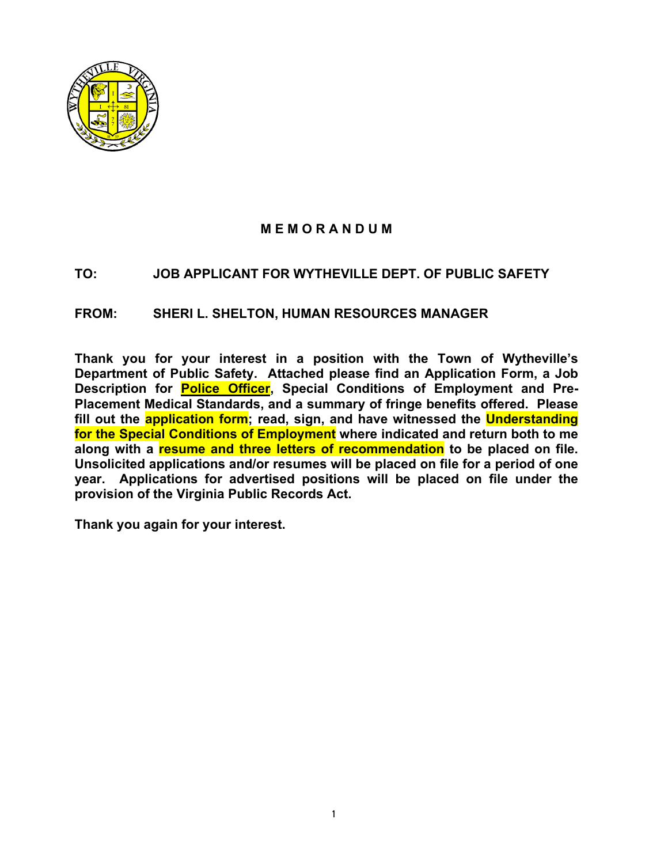

# **M E M O R A N D U M**

# **TO: JOB APPLICANT FOR WYTHEVILLE DEPT. OF PUBLIC SAFETY**

### **FROM: SHERI L. SHELTON, HUMAN RESOURCES MANAGER**

**Thank you for your interest in a position with the Town of Wytheville's Department of Public Safety. Attached please find an Application Form, a Job Description for Police Officer, Special Conditions of Employment and Pre-Placement Medical Standards, and a summary of fringe benefits offered. Please fill out the application form; read, sign, and have witnessed the Understanding for the Special Conditions of Employment where indicated and return both to me along with a resume and three letters of recommendation to be placed on file. Unsolicited applications and/or resumes will be placed on file for a period of one year. Applications for advertised positions will be placed on file under the provision of the Virginia Public Records Act.**

**Thank you again for your interest.**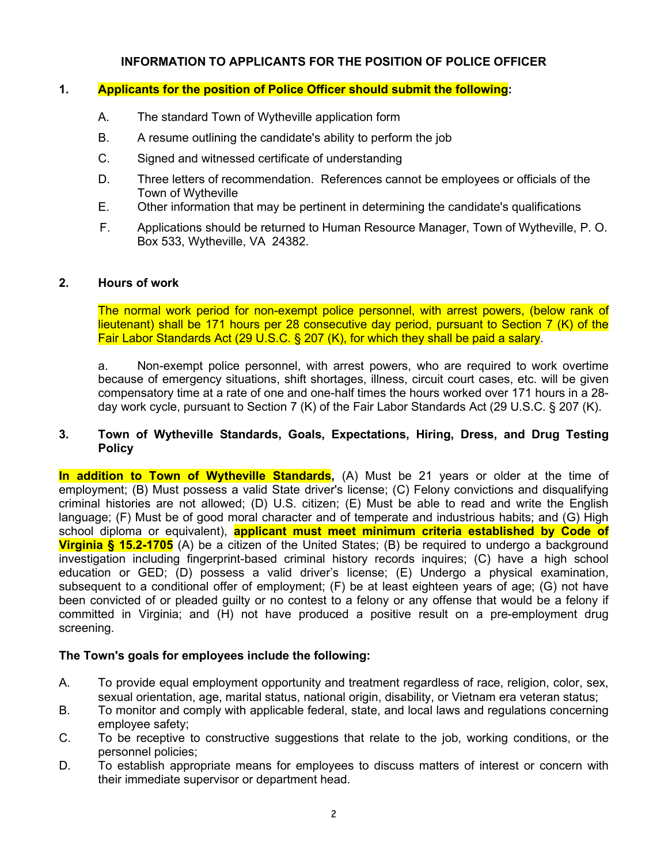### **INFORMATION TO APPLICANTS FOR THE POSITION OF POLICE OFFICER**

#### **1. Applicants for the position of Police Officer should submit the following:**

- A. The standard Town of Wytheville application form
- B. A resume outlining the candidate's ability to perform the job
- C. Signed and witnessed certificate of understanding
- D. Three letters of recommendation. References cannot be employees or officials of the Town of Wytheville
- E. Other information that may be pertinent in determining the candidate's qualifications
- F. Applications should be returned to Human Resource Manager, Town of Wytheville, P. O. Box 533, Wytheville, VA 24382.

#### **2. Hours of work**

The normal work period for non-exempt police personnel, with arrest powers, (below rank of lieutenant) shall be 171 hours per 28 consecutive day period, pursuant to Section 7 (K) of the Fair Labor Standards Act (29 U.S.C. § 207 (K), for which they shall be paid a salary.

a. Non-exempt police personnel, with arrest powers, who are required to work overtime because of emergency situations, shift shortages, illness, circuit court cases, etc. will be given compensatory time at a rate of one and one-half times the hours worked over 171 hours in a 28 day work cycle, pursuant to Section 7 (K) of the Fair Labor Standards Act (29 U.S.C. § 207 (K).

#### **3. Town of Wytheville Standards, Goals, Expectations, Hiring, Dress, and Drug Testing Policy**

**In addition to Town of Wytheville Standards,** (A) Must be 21 years or older at the time of employment; (B) Must possess a valid State driver's license; (C) Felony convictions and disqualifying criminal histories are not allowed; (D) U.S. citizen; (E) Must be able to read and write the English language; (F) Must be of good moral character and of temperate and industrious habits; and (G) High school diploma or equivalent), **applicant must meet minimum criteria established by Code of Virginia § 15.2-1705** (A) be a citizen of the United States; (B) be required to undergo a background investigation including fingerprint-based criminal history records inquires; (C) have a high school education or GED; (D) possess a valid driver's license; (E) Undergo a physical examination, subsequent to a conditional offer of employment; (F) be at least eighteen years of age; (G) not have been convicted of or pleaded guilty or no contest to a felony or any offense that would be a felony if committed in Virginia; and (H) not have produced a positive result on a pre-employment drug screening.

### **The Town's goals for employees include the following:**

- A. To provide equal employment opportunity and treatment regardless of race, religion, color, sex, sexual orientation, age, marital status, national origin, disability, or Vietnam era veteran status;
- B. To monitor and comply with applicable federal, state, and local laws and regulations concerning employee safety;
- C. To be receptive to constructive suggestions that relate to the job, working conditions, or the personnel policies;
- D. To establish appropriate means for employees to discuss matters of interest or concern with their immediate supervisor or department head.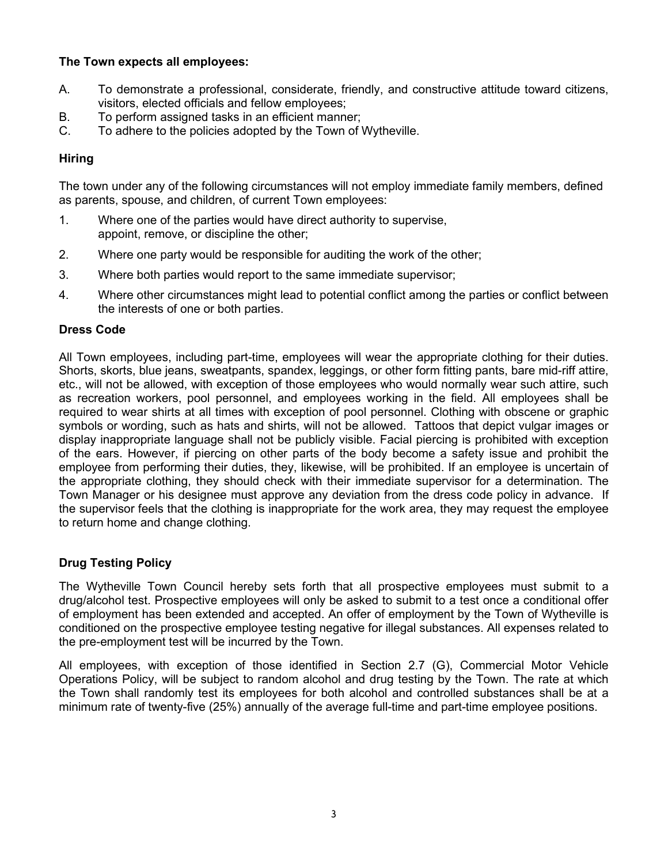### **The Town expects all employees:**

- A. To demonstrate a professional, considerate, friendly, and constructive attitude toward citizens, visitors, elected officials and fellow employees;
- B. To perform assigned tasks in an efficient manner;
- C. To adhere to the policies adopted by the Town of Wytheville.

### **Hiring**

The town under any of the following circumstances will not employ immediate family members, defined as parents, spouse, and children, of current Town employees:

- 1. Where one of the parties would have direct authority to supervise, appoint, remove, or discipline the other;
- 2. Where one party would be responsible for auditing the work of the other;
- 3. Where both parties would report to the same immediate supervisor;
- 4. Where other circumstances might lead to potential conflict among the parties or conflict between the interests of one or both parties.

#### **Dress Code**

All Town employees, including part-time, employees will wear the appropriate clothing for their duties. Shorts, skorts, blue jeans, sweatpants, spandex, leggings, or other form fitting pants, bare mid-riff attire, etc., will not be allowed, with exception of those employees who would normally wear such attire, such as recreation workers, pool personnel, and employees working in the field. All employees shall be required to wear shirts at all times with exception of pool personnel. Clothing with obscene or graphic symbols or wording, such as hats and shirts, will not be allowed. Tattoos that depict vulgar images or display inappropriate language shall not be publicly visible. Facial piercing is prohibited with exception of the ears. However, if piercing on other parts of the body become a safety issue and prohibit the employee from performing their duties, they, likewise, will be prohibited. If an employee is uncertain of the appropriate clothing, they should check with their immediate supervisor for a determination. The Town Manager or his designee must approve any deviation from the dress code policy in advance. If the supervisor feels that the clothing is inappropriate for the work area, they may request the employee to return home and change clothing.

### **Drug Testing Policy**

The Wytheville Town Council hereby sets forth that all prospective employees must submit to a drug/alcohol test. Prospective employees will only be asked to submit to a test once a conditional offer of employment has been extended and accepted. An offer of employment by the Town of Wytheville is conditioned on the prospective employee testing negative for illegal substances. All expenses related to the pre-employment test will be incurred by the Town.

All employees, with exception of those identified in Section 2.7 (G), Commercial Motor Vehicle Operations Policy, will be subject to random alcohol and drug testing by the Town. The rate at which the Town shall randomly test its employees for both alcohol and controlled substances shall be at a minimum rate of twenty-five (25%) annually of the average full-time and part-time employee positions.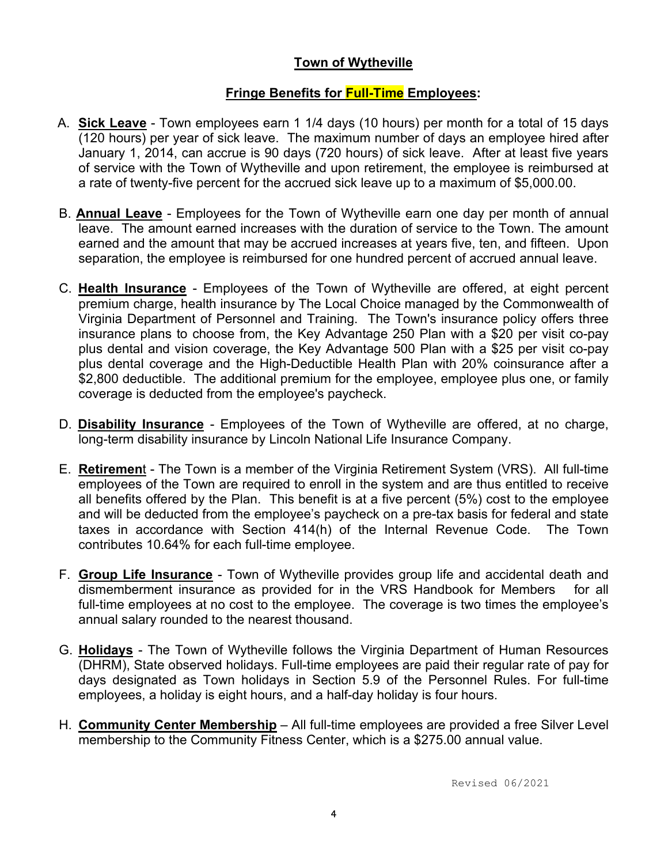# **Town of Wytheville**

# **Fringe Benefits for Full-Time Employees:**

- A. **Sick Leave** Town employees earn 1 1/4 days (10 hours) per month for a total of 15 days (120 hours) per year of sick leave. The maximum number of days an employee hired after January 1, 2014, can accrue is 90 days (720 hours) of sick leave. After at least five years of service with the Town of Wytheville and upon retirement, the employee is reimbursed at a rate of twenty-five percent for the accrued sick leave up to a maximum of \$5,000.00.
- B. **Annual Leave** Employees for the Town of Wytheville earn one day per month of annual leave. The amount earned increases with the duration of service to the Town. The amount earned and the amount that may be accrued increases at years five, ten, and fifteen. Upon separation, the employee is reimbursed for one hundred percent of accrued annual leave.
- C. **Health Insurance** Employees of the Town of Wytheville are offered, at eight percent premium charge, health insurance by The Local Choice managed by the Commonwealth of Virginia Department of Personnel and Training. The Town's insurance policy offers three insurance plans to choose from, the Key Advantage 250 Plan with a \$20 per visit co-pay plus dental and vision coverage, the Key Advantage 500 Plan with a \$25 per visit co-pay plus dental coverage and the High-Deductible Health Plan with 20% coinsurance after a \$2,800 deductible. The additional premium for the employee, employee plus one, or family coverage is deducted from the employee's paycheck.
- D. **Disability Insurance** Employees of the Town of Wytheville are offered, at no charge, long-term disability insurance by Lincoln National Life Insurance Company.
- E. **Retiremen**t The Town is a member of the Virginia Retirement System (VRS). All full-time employees of the Town are required to enroll in the system and are thus entitled to receive all benefits offered by the Plan. This benefit is at a five percent (5%) cost to the employee and will be deducted from the employee's paycheck on a pre-tax basis for federal and state taxes in accordance with Section 414(h) of the Internal Revenue Code. The Town contributes 10.64% for each full-time employee.
- F. **Group Life Insurance** Town of Wytheville provides group life and accidental death and dismemberment insurance as provided for in the VRS Handbook for Members for all full-time employees at no cost to the employee. The coverage is two times the employee's annual salary rounded to the nearest thousand.
- G. **Holidays** The Town of Wytheville follows the Virginia Department of Human Resources (DHRM), State observed holidays. Full-time employees are paid their regular rate of pay for days designated as Town holidays in Section 5.9 of the Personnel Rules. For full-time employees, a holiday is eight hours, and a half-day holiday is four hours.
- H. **Community Center Membership** All full-time employees are provided a free Silver Level membership to the Community Fitness Center, which is a \$275.00 annual value.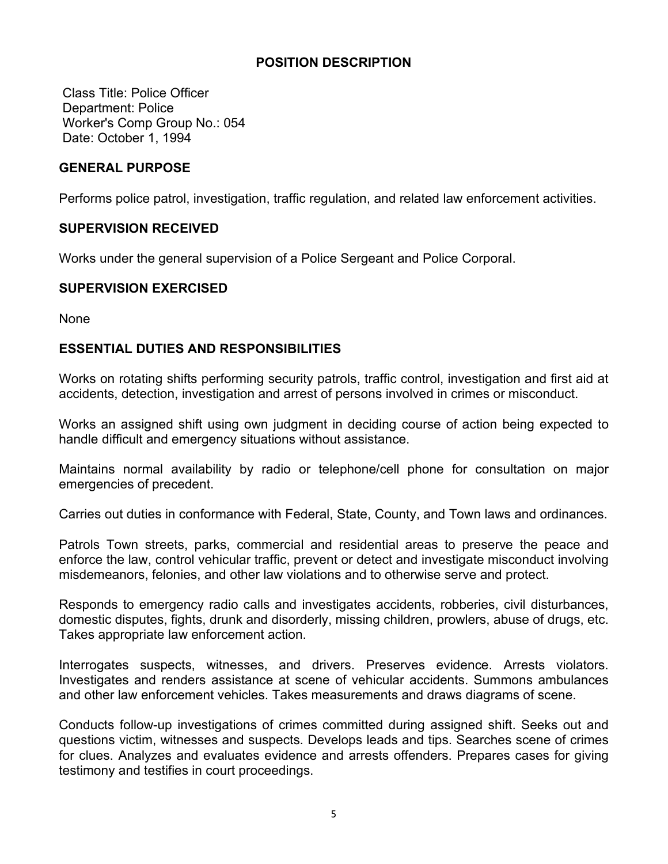# **POSITION DESCRIPTION**

Class Title: Police Officer Department: Police Worker's Comp Group No.: 054 Date: October 1, 1994

# **GENERAL PURPOSE**

Performs police patrol, investigation, traffic regulation, and related law enforcement activities.

# **SUPERVISION RECEIVED**

Works under the general supervision of a Police Sergeant and Police Corporal.

# **SUPERVISION EXERCISED**

None

# **ESSENTIAL DUTIES AND RESPONSIBILITIES**

Works on rotating shifts performing security patrols, traffic control, investigation and first aid at accidents, detection, investigation and arrest of persons involved in crimes or misconduct.

Works an assigned shift using own judgment in deciding course of action being expected to handle difficult and emergency situations without assistance.

Maintains normal availability by radio or telephone/cell phone for consultation on major emergencies of precedent.

Carries out duties in conformance with Federal, State, County, and Town laws and ordinances.

Patrols Town streets, parks, commercial and residential areas to preserve the peace and enforce the law, control vehicular traffic, prevent or detect and investigate misconduct involving misdemeanors, felonies, and other law violations and to otherwise serve and protect.

Responds to emergency radio calls and investigates accidents, robberies, civil disturbances, domestic disputes, fights, drunk and disorderly, missing children, prowlers, abuse of drugs, etc. Takes appropriate law enforcement action.

Interrogates suspects, witnesses, and drivers. Preserves evidence. Arrests violators. Investigates and renders assistance at scene of vehicular accidents. Summons ambulances and other law enforcement vehicles. Takes measurements and draws diagrams of scene.

Conducts follow-up investigations of crimes committed during assigned shift. Seeks out and questions victim, witnesses and suspects. Develops leads and tips. Searches scene of crimes for clues. Analyzes and evaluates evidence and arrests offenders. Prepares cases for giving testimony and testifies in court proceedings.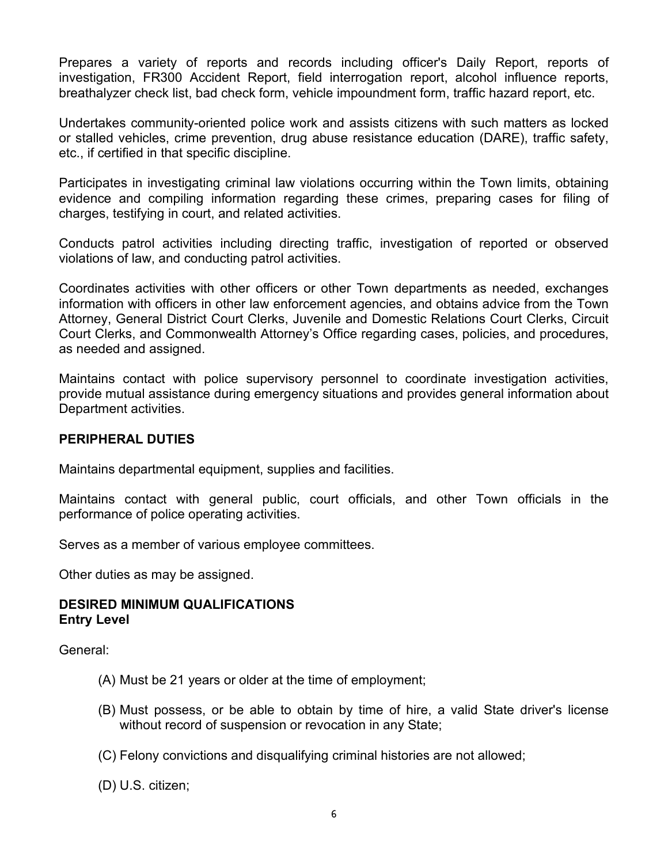Prepares a variety of reports and records including officer's Daily Report, reports of investigation, FR300 Accident Report, field interrogation report, alcohol influence reports, breathalyzer check list, bad check form, vehicle impoundment form, traffic hazard report, etc.

Undertakes community-oriented police work and assists citizens with such matters as locked or stalled vehicles, crime prevention, drug abuse resistance education (DARE), traffic safety, etc., if certified in that specific discipline.

Participates in investigating criminal law violations occurring within the Town limits, obtaining evidence and compiling information regarding these crimes, preparing cases for filing of charges, testifying in court, and related activities.

Conducts patrol activities including directing traffic, investigation of reported or observed violations of law, and conducting patrol activities.

Coordinates activities with other officers or other Town departments as needed, exchanges information with officers in other law enforcement agencies, and obtains advice from the Town Attorney, General District Court Clerks, Juvenile and Domestic Relations Court Clerks, Circuit Court Clerks, and Commonwealth Attorney's Office regarding cases, policies, and procedures, as needed and assigned.

Maintains contact with police supervisory personnel to coordinate investigation activities, provide mutual assistance during emergency situations and provides general information about Department activities.

### **PERIPHERAL DUTIES**

Maintains departmental equipment, supplies and facilities.

Maintains contact with general public, court officials, and other Town officials in the performance of police operating activities.

Serves as a member of various employee committees.

Other duties as may be assigned.

### **DESIRED MINIMUM QUALIFICATIONS Entry Level**

General:

- (A) Must be 21 years or older at the time of employment;
- (B) Must possess, or be able to obtain by time of hire, a valid State driver's license without record of suspension or revocation in any State;
- (C) Felony convictions and disqualifying criminal histories are not allowed;
- (D) U.S. citizen;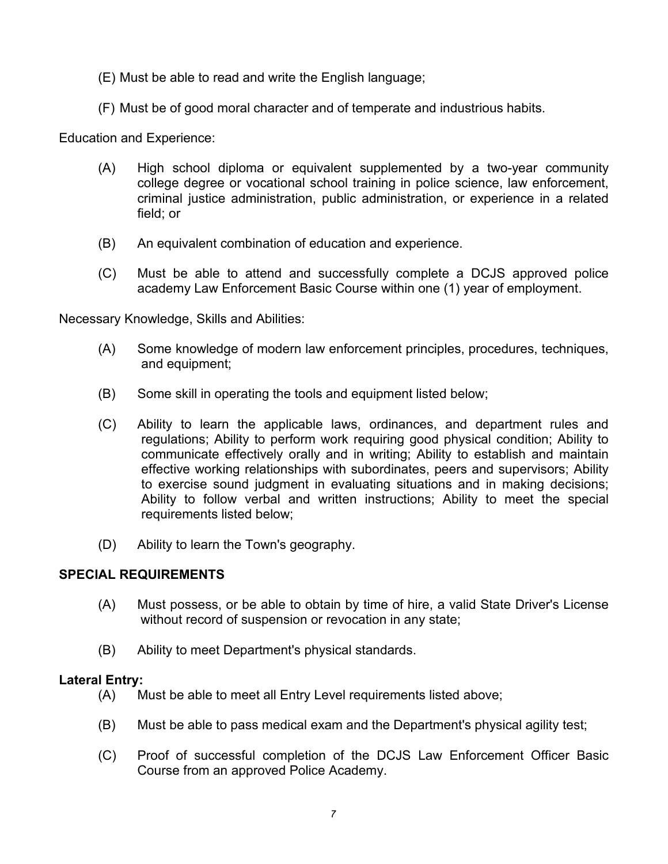- (E) Must be able to read and write the English language;
- (F) Must be of good moral character and of temperate and industrious habits.

Education and Experience:

- (A) High school diploma or equivalent supplemented by a two-year community college degree or vocational school training in police science, law enforcement, criminal justice administration, public administration, or experience in a related field; or
- (B) An equivalent combination of education and experience.
- (C) Must be able to attend and successfully complete a DCJS approved police academy Law Enforcement Basic Course within one (1) year of employment.

Necessary Knowledge, Skills and Abilities:

- (A) Some knowledge of modern law enforcement principles, procedures, techniques, and equipment;
- (B) Some skill in operating the tools and equipment listed below;
- (C) Ability to learn the applicable laws, ordinances, and department rules and regulations; Ability to perform work requiring good physical condition; Ability to communicate effectively orally and in writing; Ability to establish and maintain effective working relationships with subordinates, peers and supervisors; Ability to exercise sound judgment in evaluating situations and in making decisions; Ability to follow verbal and written instructions; Ability to meet the special requirements listed below;
- (D) Ability to learn the Town's geography.

# **SPECIAL REQUIREMENTS**

- (A) Must possess, or be able to obtain by time of hire, a valid State Driver's License without record of suspension or revocation in any state;
- (B) Ability to meet Department's physical standards.

# **Lateral Entry:**

- (A) Must be able to meet all Entry Level requirements listed above;
- (B) Must be able to pass medical exam and the Department's physical agility test;
- (C) Proof of successful completion of the DCJS Law Enforcement Officer Basic Course from an approved Police Academy.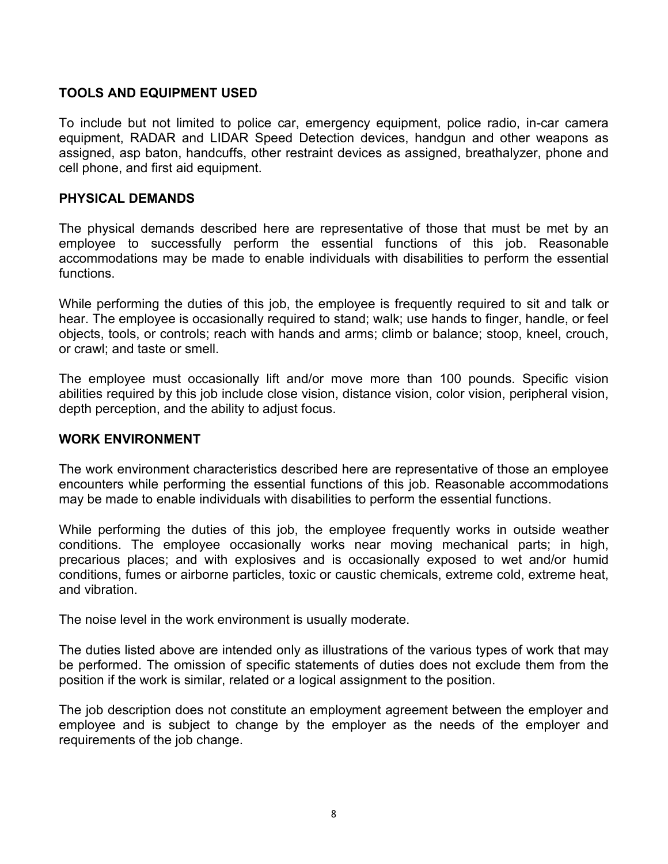# **TOOLS AND EQUIPMENT USED**

To include but not limited to police car, emergency equipment, police radio, in-car camera equipment, RADAR and LIDAR Speed Detection devices, handgun and other weapons as assigned, asp baton, handcuffs, other restraint devices as assigned, breathalyzer, phone and cell phone, and first aid equipment.

### **PHYSICAL DEMANDS**

The physical demands described here are representative of those that must be met by an employee to successfully perform the essential functions of this job. Reasonable accommodations may be made to enable individuals with disabilities to perform the essential functions.

While performing the duties of this job, the employee is frequently required to sit and talk or hear. The employee is occasionally required to stand; walk; use hands to finger, handle, or feel objects, tools, or controls; reach with hands and arms; climb or balance; stoop, kneel, crouch, or crawl; and taste or smell.

The employee must occasionally lift and/or move more than 100 pounds. Specific vision abilities required by this job include close vision, distance vision, color vision, peripheral vision, depth perception, and the ability to adjust focus.

### **WORK ENVIRONMENT**

The work environment characteristics described here are representative of those an employee encounters while performing the essential functions of this job. Reasonable accommodations may be made to enable individuals with disabilities to perform the essential functions.

While performing the duties of this job, the employee frequently works in outside weather conditions. The employee occasionally works near moving mechanical parts; in high, precarious places; and with explosives and is occasionally exposed to wet and/or humid conditions, fumes or airborne particles, toxic or caustic chemicals, extreme cold, extreme heat, and vibration.

The noise level in the work environment is usually moderate.

The duties listed above are intended only as illustrations of the various types of work that may be performed. The omission of specific statements of duties does not exclude them from the position if the work is similar, related or a logical assignment to the position.

The job description does not constitute an employment agreement between the employer and employee and is subject to change by the employer as the needs of the employer and requirements of the job change.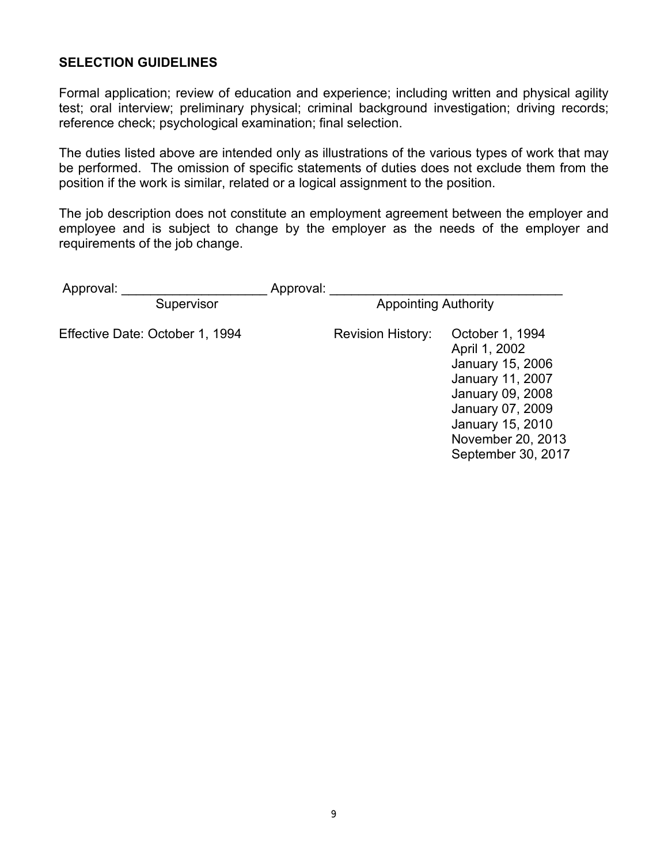# **SELECTION GUIDELINES**

Formal application; review of education and experience; including written and physical agility test; oral interview; preliminary physical; criminal background investigation; driving records; reference check; psychological examination; final selection.

The duties listed above are intended only as illustrations of the various types of work that may be performed. The omission of specific statements of duties does not exclude them from the position if the work is similar, related or a logical assignment to the position.

The job description does not constitute an employment agreement between the employer and employee and is subject to change by the employer as the needs of the employer and requirements of the job change.

| Approval:                       | Approval:                                                                                                                                                                                                                        |
|---------------------------------|----------------------------------------------------------------------------------------------------------------------------------------------------------------------------------------------------------------------------------|
| Supervisor                      | <b>Appointing Authority</b>                                                                                                                                                                                                      |
| Effective Date: October 1, 1994 | <b>Revision History:</b><br>October 1, 1994<br>April 1, 2002<br><b>January 15, 2006</b><br>January 11, 2007<br><b>January 09, 2008</b><br><b>January 07, 2009</b><br>January 15, 2010<br>November 20, 2013<br>September 30, 2017 |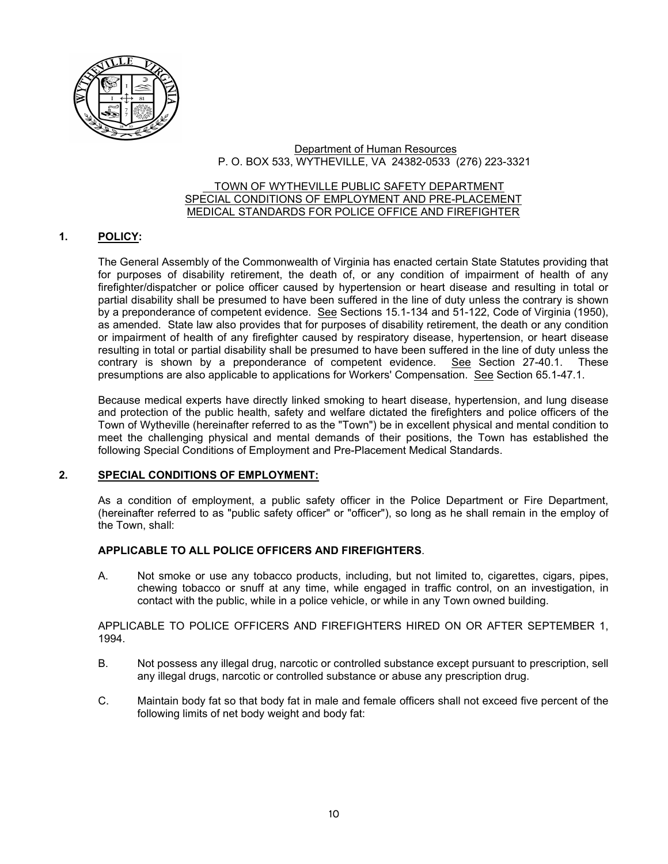

#### Department of Human Resources P. O. BOX 533, WYTHEVILLE, VA 24382-0533 (276) 223-3321

#### TOWN OF WYTHEVILLE PUBLIC SAFETY DEPARTMENT SPECIAL CONDITIONS OF EMPLOYMENT AND PRE-PLACEMENT MEDICAL STANDARDS FOR POLICE OFFICE AND FIREFIGHTER

#### **1. POLICY:**

The General Assembly of the Commonwealth of Virginia has enacted certain State Statutes providing that for purposes of disability retirement, the death of, or any condition of impairment of health of any firefighter/dispatcher or police officer caused by hypertension or heart disease and resulting in total or partial disability shall be presumed to have been suffered in the line of duty unless the contrary is shown by a preponderance of competent evidence. See Sections 15.1-134 and 51-122, Code of Virginia (1950), as amended. State law also provides that for purposes of disability retirement, the death or any condition or impairment of health of any firefighter caused by respiratory disease, hypertension, or heart disease resulting in total or partial disability shall be presumed to have been suffered in the line of duty unless the contrary is shown by a preponderance of competent evidence. See Section 27-40.1. These presumptions are also applicable to applications for Workers' Compensation. See Section 65.1-47.1.

Because medical experts have directly linked smoking to heart disease, hypertension, and lung disease and protection of the public health, safety and welfare dictated the firefighters and police officers of the Town of Wytheville (hereinafter referred to as the "Town") be in excellent physical and mental condition to meet the challenging physical and mental demands of their positions, the Town has established the following Special Conditions of Employment and Pre-Placement Medical Standards.

#### $2.$ **2. SPECIAL CONDITIONS OF EMPLOYMENT:**

As a condition of employment, a public safety officer in the Police Department or Fire Department, (hereinafter referred to as "public safety officer" or "officer"), so long as he shall remain in the employ of the Town, shall:

#### **APPLICABLE TO ALL POLICE OFFICERS AND FIREFIGHTERS**.

A. Not smoke or use any tobacco products, including, but not limited to, cigarettes, cigars, pipes, chewing tobacco or snuff at any time, while engaged in traffic control, on an investigation, in contact with the public, while in a police vehicle, or while in any Town owned building.

#### APPLICABLE TO POLICE OFFICERS AND FIREFIGHTERS HIRED ON OR AFTER SEPTEMBER 1, 1994.

- B. Not possess any illegal drug, narcotic or controlled substance except pursuant to prescription, sell any illegal drugs, narcotic or controlled substance or abuse any prescription drug.
- C. Maintain body fat so that body fat in male and female officers shall not exceed five percent of the following limits of net body weight and body fat: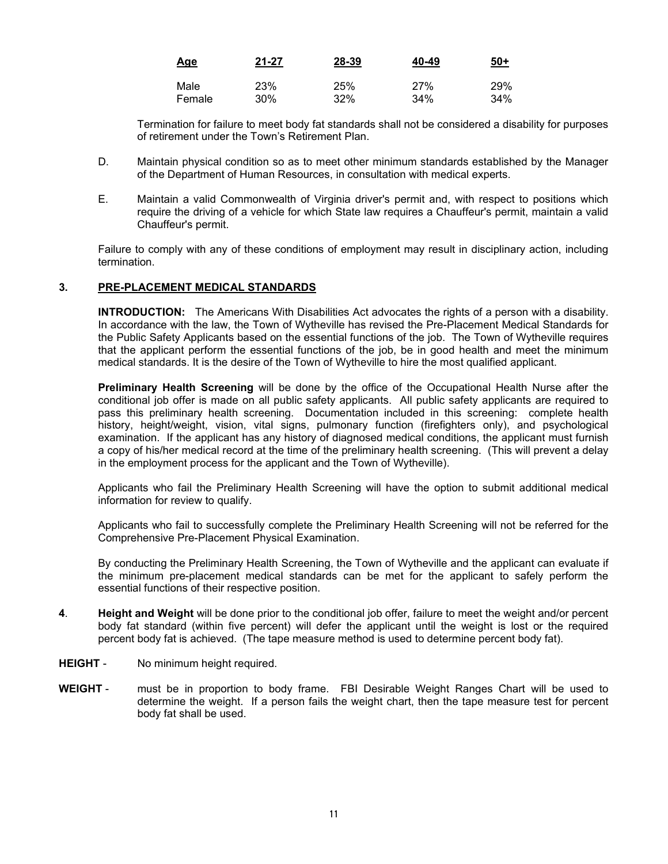| <u>Age</u> | 21-27 | 28-39 | 40-49 | $50+$ |
|------------|-------|-------|-------|-------|
| Male       | 23%   | 25%   | 27%   | 29%   |
| Female     | 30%   | 32%   | 34%   | 34%   |

Termination for failure to meet body fat standards shall not be considered a disability for purposes of retirement under the Town's Retirement Plan.

- D. Maintain physical condition so as to meet other minimum standards established by the Manager of the Department of Human Resources, in consultation with medical experts.
- E. Maintain a valid Commonwealth of Virginia driver's permit and, with respect to positions which require the driving of a vehicle for which State law requires a Chauffeur's permit, maintain a valid Chauffeur's permit.

Failure to comply with any of these conditions of employment may result in disciplinary action, including termination.

#### **3. PRE-PLACEMENT MEDICAL STANDARDS**

**INTRODUCTION:** The Americans With Disabilities Act advocates the rights of a person with a disability. In accordance with the law, the Town of Wytheville has revised the Pre-Placement Medical Standards for the Public Safety Applicants based on the essential functions of the job. The Town of Wytheville requires that the applicant perform the essential functions of the job, be in good health and meet the minimum medical standards. It is the desire of the Town of Wytheville to hire the most qualified applicant.

**Preliminary Health Screening** will be done by the office of the Occupational Health Nurse after the conditional job offer is made on all public safety applicants. All public safety applicants are required to pass this preliminary health screening. Documentation included in this screening: complete health history, height/weight, vision, vital signs, pulmonary function (firefighters only), and psychological examination. If the applicant has any history of diagnosed medical conditions, the applicant must furnish a copy of his/her medical record at the time of the preliminary health screening. (This will prevent a delay in the employment process for the applicant and the Town of Wytheville).

Applicants who fail the Preliminary Health Screening will have the option to submit additional medical information for review to qualify.

Applicants who fail to successfully complete the Preliminary Health Screening will not be referred for the Comprehensive Pre-Placement Physical Examination.

By conducting the Preliminary Health Screening, the Town of Wytheville and the applicant can evaluate if the minimum pre-placement medical standards can be met for the applicant to safely perform the essential functions of their respective position.

- **4**. **Height and Weight** will be done prior to the conditional job offer, failure to meet the weight and/or percent body fat standard (within five percent) will defer the applicant until the weight is lost or the required percent body fat is achieved. (The tape measure method is used to determine percent body fat).
- **HEIGHT** No minimum height required.
- **WEIGHT** must be in proportion to body frame. FBI Desirable Weight Ranges Chart will be used to determine the weight. If a person fails the weight chart, then the tape measure test for percent body fat shall be used.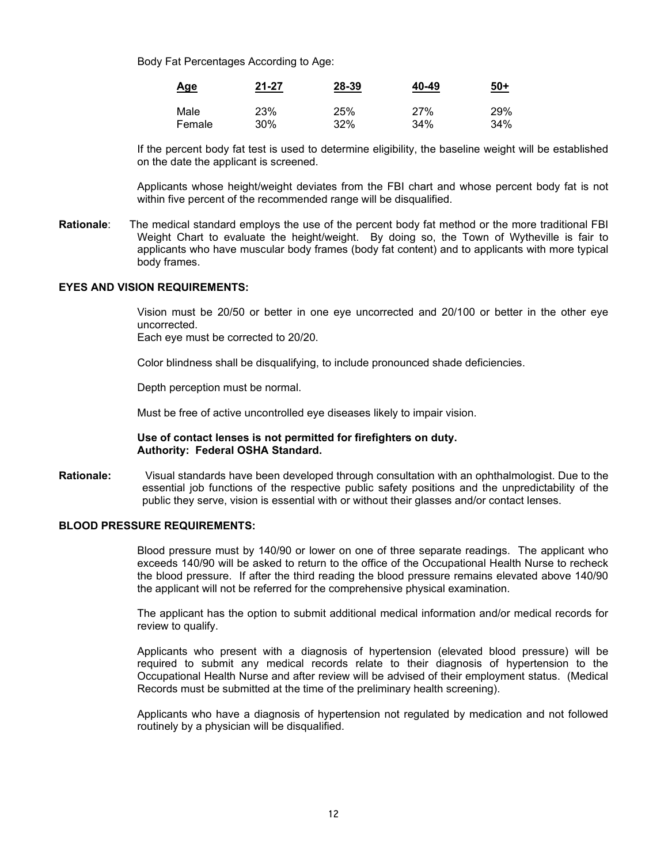Body Fat Percentages According to Age:

| <u>Age</u> | 21-27 | 28-39 | 40-49 | $50+$ |
|------------|-------|-------|-------|-------|
| Male       | 23%   | 25%   | 27%   | 29%   |
| Female     | 30%   | 32%   | 34%   | 34%   |

If the percent body fat test is used to determine eligibility, the baseline weight will be established on the date the applicant is screened.

Applicants whose height/weight deviates from the FBI chart and whose percent body fat is not within five percent of the recommended range will be disqualified.

**Rationale**: The medical standard employs the use of the percent body fat method or the more traditional FBI Weight Chart to evaluate the height/weight. By doing so, the Town of Wytheville is fair to applicants who have muscular body frames (body fat content) and to applicants with more typical body frames.

#### **EYES AND VISION REQUIREMENTS:**

Vision must be 20/50 or better in one eye uncorrected and 20/100 or better in the other eye uncorrected.

Each eye must be corrected to 20/20.

Color blindness shall be disqualifying, to include pronounced shade deficiencies.

Depth perception must be normal.

Must be free of active uncontrolled eye diseases likely to impair vision.

#### **Use of contact lenses is not permitted for firefighters on duty. Authority: Federal OSHA Standard.**

**Rationale:** Visual standards have been developed through consultation with an ophthalmologist. Due to the essential job functions of the respective public safety positions and the unpredictability of the public they serve, vision is essential with or without their glasses and/or contact lenses.

#### **BLOOD PRESSURE REQUIREMENTS:**

 Blood pressure must by 140/90 or lower on one of three separate readings. The applicant who exceeds 140/90 will be asked to return to the office of the Occupational Health Nurse to recheck the blood pressure. If after the third reading the blood pressure remains elevated above 140/90 the applicant will not be referred for the comprehensive physical examination.

The applicant has the option to submit additional medical information and/or medical records for review to qualify.

Applicants who present with a diagnosis of hypertension (elevated blood pressure) will be required to submit any medical records relate to their diagnosis of hypertension to the Occupational Health Nurse and after review will be advised of their employment status. (Medical Records must be submitted at the time of the preliminary health screening).

Applicants who have a diagnosis of hypertension not regulated by medication and not followed routinely by a physician will be disqualified.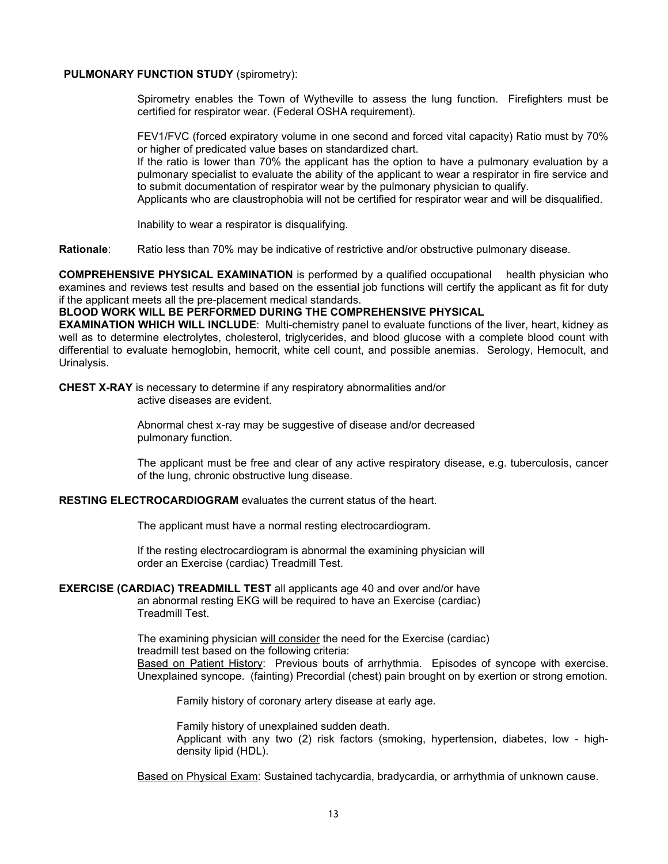#### **PULMONARY FUNCTION STUDY** (spirometry):

Spirometry enables the Town of Wytheville to assess the lung function. Firefighters must be certified for respirator wear. (Federal OSHA requirement).

FEV1/FVC (forced expiratory volume in one second and forced vital capacity) Ratio must by 70% or higher of predicated value bases on standardized chart.

If the ratio is lower than 70% the applicant has the option to have a pulmonary evaluation by a pulmonary specialist to evaluate the ability of the applicant to wear a respirator in fire service and to submit documentation of respirator wear by the pulmonary physician to qualify.

Applicants who are claustrophobia will not be certified for respirator wear and will be disqualified.

Inability to wear a respirator is disqualifying.

**Rationale**: Ratio less than 70% may be indicative of restrictive and/or obstructive pulmonary disease.

**COMPREHENSIVE PHYSICAL EXAMINATION** is performed by a qualified occupational health physician who examines and reviews test results and based on the essential job functions will certify the applicant as fit for duty if the applicant meets all the pre-placement medical standards.

**BLOOD WORK WILL BE PERFORMED DURING THE COMPREHENSIVE PHYSICAL**

**EXAMINATION WHICH WILL INCLUDE**: Multi-chemistry panel to evaluate functions of the liver, heart, kidney as well as to determine electrolytes, cholesterol, triglycerides, and blood glucose with a complete blood count with differential to evaluate hemoglobin, hemocrit, white cell count, and possible anemias. Serology, Hemocult, and Urinalysis.

**CHEST X-RAY** is necessary to determine if any respiratory abnormalities and/or

active diseases are evident.

Abnormal chest x-ray may be suggestive of disease and/or decreased pulmonary function.

The applicant must be free and clear of any active respiratory disease, e.g. tuberculosis, cancer of the lung, chronic obstructive lung disease.

#### **RESTING ELECTROCARDIOGRAM** evaluates the current status of the heart.

The applicant must have a normal resting electrocardiogram.

If the resting electrocardiogram is abnormal the examining physician will order an Exercise (cardiac) Treadmill Test.

#### **EXERCISE (CARDIAC) TREADMILL TEST** all applicants age 40 and over and/or have an abnormal resting EKG will be required to have an Exercise (cardiac) Treadmill Test.

The examining physician will consider the need for the Exercise (cardiac) treadmill test based on the following criteria: Based on Patient History: Previous bouts of arrhythmia. Episodes of syncope with exercise. Unexplained syncope. (fainting) Precordial (chest) pain brought on by exertion or strong emotion.

Family history of coronary artery disease at early age.

Family history of unexplained sudden death. Applicant with any two (2) risk factors (smoking, hypertension, diabetes, low - highdensity lipid (HDL).

Based on Physical Exam: Sustained tachycardia, bradycardia, or arrhythmia of unknown cause.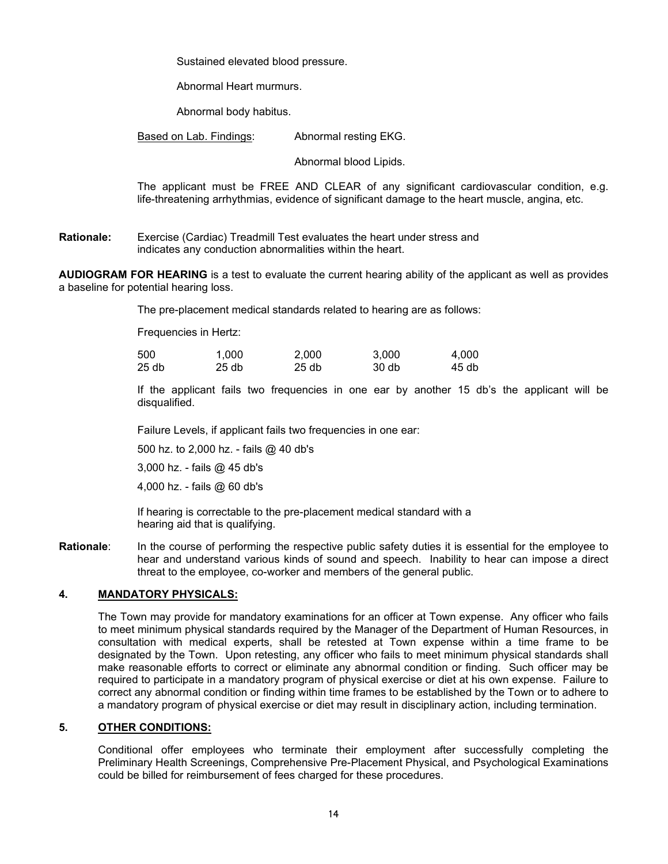Sustained elevated blood pressure.

Abnormal Heart murmurs.

Abnormal body habitus.

Based on Lab. Findings: Abnormal resting EKG.

Abnormal blood Lipids.

The applicant must be FREE AND CLEAR of any significant cardiovascular condition, e.g. life-threatening arrhythmias, evidence of significant damage to the heart muscle, angina, etc.

**Rationale:** Exercise (Cardiac) Treadmill Test evaluates the heart under stress and indicates any conduction abnormalities within the heart.

**AUDIOGRAM FOR HEARING** is a test to evaluate the current hearing ability of the applicant as well as provides a baseline for potential hearing loss.

The pre-placement medical standards related to hearing are as follows:

Frequencies in Hertz:

| 500   | 1,000 | 2,000 | 3,000 | 4.000 |
|-------|-------|-------|-------|-------|
| 25 db | 25 db | 25 db | 30 db | 45 db |

If the applicant fails two frequencies in one ear by another 15 db's the applicant will be disqualified.

Failure Levels, if applicant fails two frequencies in one ear:

500 hz. to 2,000 hz. - fails @ 40 db's

3,000 hz. - fails @ 45 db's

4,000 hz. - fails @ 60 db's

If hearing is correctable to the pre-placement medical standard with a hearing aid that is qualifying.

**Rationale:** In the course of performing the respective public safety duties it is essential for the employee to hear and understand various kinds of sound and speech. Inability to hear can impose a direct threat to the employee, co-worker and members of the general public.

#### **4. MANDATORY PHYSICALS:**

The Town may provide for mandatory examinations for an officer at Town expense. Any officer who fails to meet minimum physical standards required by the Manager of the Department of Human Resources, in consultation with medical experts, shall be retested at Town expense within a time frame to be designated by the Town. Upon retesting, any officer who fails to meet minimum physical standards shall make reasonable efforts to correct or eliminate any abnormal condition or finding. Such officer may be required to participate in a mandatory program of physical exercise or diet at his own expense. Failure to correct any abnormal condition or finding within time frames to be established by the Town or to adhere to a mandatory program of physical exercise or diet may result in disciplinary action, including termination.

#### **5. OTHER CONDITIONS:**

Conditional offer employees who terminate their employment after successfully completing the Preliminary Health Screenings, Comprehensive Pre-Placement Physical, and Psychological Examinations could be billed for reimbursement of fees charged for these procedures.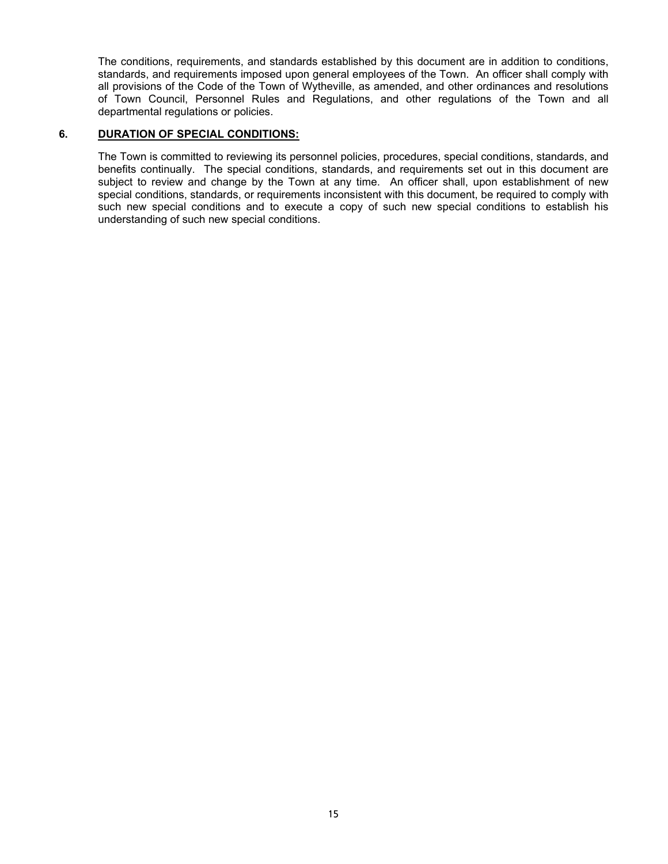The conditions, requirements, and standards established by this document are in addition to conditions, standards, and requirements imposed upon general employees of the Town. An officer shall comply with all provisions of the Code of the Town of Wytheville, as amended, and other ordinances and resolutions of Town Council, Personnel Rules and Regulations, and other regulations of the Town and all departmental regulations or policies.

#### **6. DURATION OF SPECIAL CONDITIONS:**

The Town is committed to reviewing its personnel policies, procedures, special conditions, standards, and benefits continually. The special conditions, standards, and requirements set out in this document are subject to review and change by the Town at any time. An officer shall, upon establishment of new special conditions, standards, or requirements inconsistent with this document, be required to comply with such new special conditions and to execute a copy of such new special conditions to establish his understanding of such new special conditions.